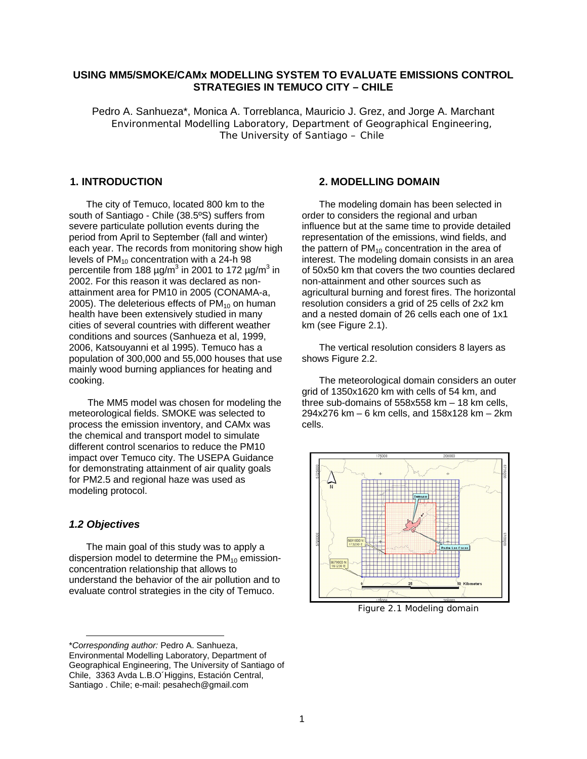# **USING MM5/SMOKE/CAMx MODELLING SYSTEM TO EVALUATE EMISSIONS CONTROL STRATEGIES IN TEMUCO CITY – CHILE**

Pedro A. Sanhueza\*, Monica A. Torreblanca, Mauricio J. Grez, and Jorge A. Marchant Environmental Modelling Laboratory, Department of Geographical Engineering, The University of Santiago – Chile

# **1. INTRODUCTION**

The city of Temuco, located 800 km to the south of Santiago - Chile (38.5ºS) suffers from severe particulate pollution events during the period from April to September (fall and winter) each year. The records from monitoring show high levels of  $PM_{10}$  concentration with a 24-h 98 percentile from 188  $\mu$ g/m<sup>3</sup> in 2001 to 172  $\mu$ g/m<sup>3</sup> in 2002. For this reason it was declared as nonattainment area for PM10 in 2005 (CONAMA-a, 2005). The deleterious effects of  $PM<sub>10</sub>$  on human health have been extensively studied in many cities of several countries with different weather conditions and sources (Sanhueza et al, 1999, 2006, Katsouyanni et al 1995). Temuco has a population of 300,000 and 55,000 houses that use mainly wood burning appliances for heating and cooking.

 The MM5 model was chosen for modeling the meteorological fields. SMOKE was selected to process the emission inventory, and CAMx was the chemical and transport model to simulate different control scenarios to reduce the PM10 impact over Temuco city. The USEPA Guidance for demonstrating attainment of air quality goals for PM2.5 and regional haze was used as modeling protocol.

## *1.2 Objectives*

l

The main goal of this study was to apply a dispersion model to determine the  $PM_{10}$  emissionconcentration relationship that allows to understand the behavior of the air pollution and to evaluate control strategies in the city of Temuco.

#### \**Corresponding author:* Pedro A. Sanhueza, Environmental Modelling Laboratory, Department of Geographical Engineering, The University of Santiago of Chile, 3363 Avda L.B.O´Higgins, Estación Central, Santiago . Chile; e-mail: pesahech@gmail.com

# **2. MODELLING DOMAIN**

The modeling domain has been selected in order to considers the regional and urban influence but at the same time to provide detailed representation of the emissions, wind fields, and the pattern of  $PM_{10}$  concentration in the area of interest. The modeling domain consists in an area of 50x50 km that covers the two counties declared non-attainment and other sources such as agricultural burning and forest fires. The horizontal resolution considers a grid of 25 cells of 2x2 km and a nested domain of 26 cells each one of 1x1 km (see Figure 2.1).

The vertical resolution considers 8 layers as shows Figure 2.2.

The meteorological domain considers an outer grid of 1350x1620 km with cells of 54 km, and three sub-domains of 558x558 km – 18 km cells, 294x276 km – 6 km cells, and 158x128 km – 2km cells.



Figure 2.1 Modeling domain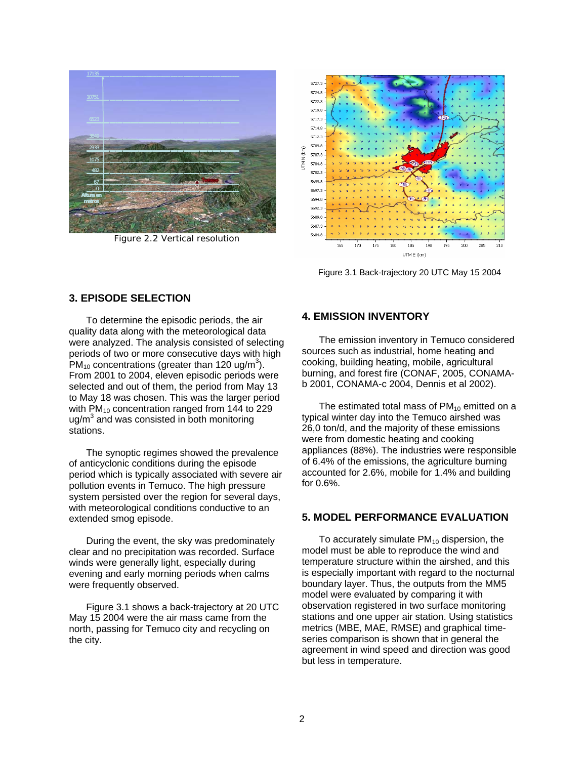

Figure 2.2 Vertical resolution



Figure 3.1 Back-trajectory 20 UTC May 15 2004

# **3. EPISODE SELECTION**

To determine the episodic periods, the air quality data along with the meteorological data were analyzed. The analysis consisted of selecting periods of two or more consecutive days with high  $\overline{\mathsf{PM}}_{10}$  concentrations (greater than 120 ug/m<sup>3</sup>). From 2001 to 2004, eleven episodic periods were selected and out of them, the period from May 13 to May 18 was chosen. This was the larger period with  $PM_{10}$  concentration ranged from 144 to 229 ug/m<sup>3</sup> and was consisted in both monitoring stations.

The synoptic regimes showed the prevalence of anticyclonic conditions during the episode period which is typically associated with severe air pollution events in Temuco. The high pressure system persisted over the region for several days, with meteorological conditions conductive to an extended smog episode.

During the event, the sky was predominately clear and no precipitation was recorded. Surface winds were generally light, especially during evening and early morning periods when calms were frequently observed.

Figure 3.1 shows a back-trajectory at 20 UTC May 15 2004 were the air mass came from the north, passing for Temuco city and recycling on the city.

# **4. EMISSION INVENTORY**

The emission inventory in Temuco considered sources such as industrial, home heating and cooking, building heating, mobile, agricultural burning, and forest fire (CONAF, 2005, CONAMAb 2001, CONAMA-c 2004, Dennis et al 2002).

The estimated total mass of  $PM_{10}$  emitted on a typical winter day into the Temuco airshed was 26,0 ton/d, and the majority of these emissions were from domestic heating and cooking appliances (88%). The industries were responsible of 6.4% of the emissions, the agriculture burning accounted for 2.6%, mobile for 1.4% and building for 0.6%.

## **5. MODEL PERFORMANCE EVALUATION**

To accurately simulate  $PM_{10}$  dispersion, the model must be able to reproduce the wind and temperature structure within the airshed, and this is especially important with regard to the nocturnal boundary layer. Thus, the outputs from the MM5 model were evaluated by comparing it with observation registered in two surface monitoring stations and one upper air station. Using statistics metrics (MBE, MAE, RMSE) and graphical timeseries comparison is shown that in general the agreement in wind speed and direction was good but less in temperature.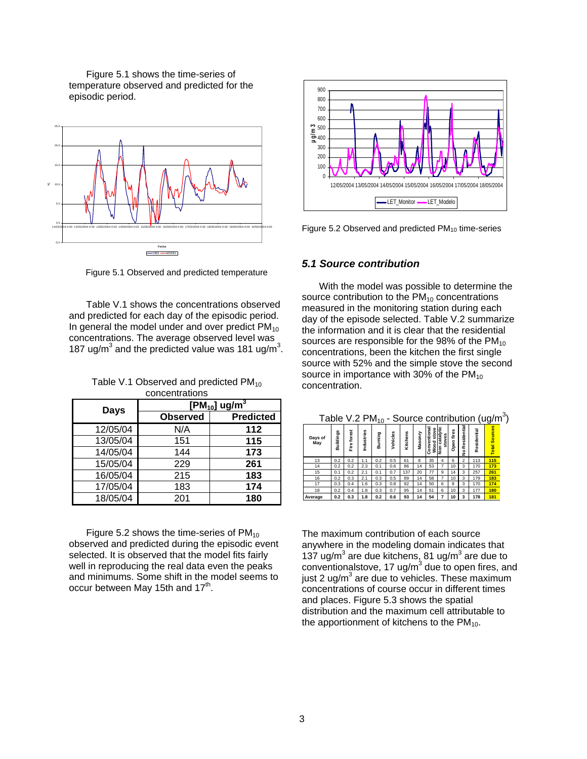Figure 5.1 shows the time-series of temperature observed and predicted for the episodic period.



Figure 5.1 Observed and predicted temperature

Table V.1 shows the concentrations observed and predicted for each day of the episodic period. In general the model under and over predict  $PM_{10}$ concentrations. The average observed level was 187 ug/m<sup>3</sup> and the predicted value was 181 ug/m<sup>3</sup>.

Table V.1 Observed and predicted  $PM_{10}$ concentrations

| Days     | $[PM_{10}]$ ug/m <sup>3</sup> |                  |  |  |  |
|----------|-------------------------------|------------------|--|--|--|
|          | <b>Observed</b>               | <b>Predicted</b> |  |  |  |
| 12/05/04 | N/A                           | 112              |  |  |  |
| 13/05/04 | 151                           | 115              |  |  |  |
| 14/05/04 | 144                           | 173              |  |  |  |
| 15/05/04 | 229                           | 261              |  |  |  |
| 16/05/04 | 215                           | 183              |  |  |  |
| 17/05/04 | 183                           | 174              |  |  |  |
| 18/05/04 | 201                           | 180              |  |  |  |

Figure 5.2 shows the time-series of  $PM_{10}$ observed and predicted during the episodic event selected. It is observed that the model fits fairly well in reproducing the real data even the peaks and minimums. Some shift in the model seems to occur between May 15th and  $17<sup>th</sup>$ .



Figure 5.2 Observed and predicted  $PM_{10}$  time-series

#### *5.1 Source contribution*

With the model was possible to determine the source contribution to the  $PM_{10}$  concentrations measured in the monitoring station during each day of the episode selected. Table V.2 summarize the information and it is clear that the residential sources are responsible for the 98% of the  $PM_{10}$ concentrations, been the kitchen the first single source with 52% and the simple stove the second source in importance with 30% of the  $PM_{10}$ concentration.

Table V.2 PM<sub>10</sub> - Source contribution  $(ug/m<sup>3</sup>)$ 

| Days of<br>May | Buildings | forest<br>e<br>iii | Industries | Burning | Vehícles | Kitchens | Masonry | ಸ<br>stove<br>vention<br>τ<br>oo<br>N<br>ة<br>S | ಼<br>catal<br>stoves<br>non. | fires<br>pen<br>ō | Residential<br>ş | Residential | <b>Sources</b><br><b>Total</b> |
|----------------|-----------|--------------------|------------|---------|----------|----------|---------|-------------------------------------------------|------------------------------|-------------------|------------------|-------------|--------------------------------|
| 13             | 0.2       | 0.2                | 1.1        | 0.2     | 0.5      | 61       | 8       | 35                                              | 4                            | 6                 | $\overline{2}$   | 113         | 115                            |
| 14             | 0.2       | 0.2                | 2.3        | 0.1     | 0.6      | 86       | 14      | 53                                              | 7                            | 10                | 3                | 170         | 173                            |
| 15             | 0.1       | 0.2                | 2.1        | 0.1     | 0.7      | 137      | 20      | 77                                              | 9                            | 14                | 3                | 257         | 261                            |
| 16             | 0.2       | 0.3                | 2.1        | 0.3     | 0.5      | 89       | 14      | 58                                              | 7                            | 10                | 3                | 179         | 183                            |
| 17             | 0.3       | 0.4                | 1.6        | 0.3     | 0.8      | 92       | 14      | 50                                              | 6                            | 8                 | 3                | 170         | 174                            |
| 18             | 0.2       | 0.4                | 1.8        | 0.3     | 0.7      | 95       | 14      | 51                                              | 6                            | 10                | 3                | 177         | 180                            |
| Average        | 0.2       | 0.3                | 1.8        | 0.2     | 0.6      | 93       | 14      | 54                                              | 7                            | 10                | 3                | 178         | 181                            |

The maximum contribution of each source anywhere in the modeling domain indicates that 137 ug/m<sup>3</sup> are due kitchens, 81 ug/m<sup>3</sup> are due to conventionalstove, 17 ug/m<sup>3</sup> due to open fires, and just 2 ug/m $3$  are due to vehicles. These maximum concentrations of course occur in different times and places. Figure 5.3 shows the spatial distribution and the maximum cell attributable to the apportionment of kitchens to the  $PM_{10}$ .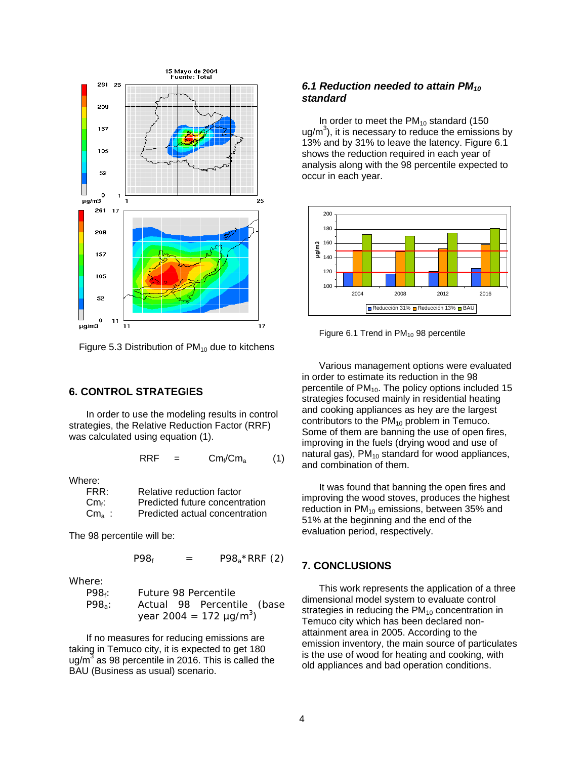

Figure 5.3 Distribution of  $PM_{10}$  due to kitchens

#### **6. CONTROL STRATEGIES**

In order to use the modeling results in control strategies, the Relative Reduction Factor (RRF) was calculated using equation (1).

$$
RRF = Cm_f/Cm_a \qquad (1)
$$

Where:

| FRR:                         | Relative reduction factor      |
|------------------------------|--------------------------------|
| $\mathsf{Cm}_{\mathsf{f}}$ : | Predicted future concentration |
| $\rm Cm_{\rm a}$ :           | Predicted actual concentration |

The 98 percentile will be:

 $P98_f = P98_a * RRF (2)$ 

Where:

| $P98f$ : | Future 98 Percentile                     |  |                            |  |  |  |  |
|----------|------------------------------------------|--|----------------------------|--|--|--|--|
| $P98a$ : |                                          |  | Actual 98 Percentile (base |  |  |  |  |
|          | year 2004 = 172 $\mu$ g/m <sup>3</sup> ) |  |                            |  |  |  |  |

If no measures for reducing emissions are taking in Temuco city, it is expected to get 180 ug/m<sup>3</sup> as 98 percentile in 2016. This is called the BAU (Business as usual) scenario.

### *6.1 Reduction needed to attain PM10 standard*

In order to meet the  $PM_{10}$  standard (150 ug/m<sup>3</sup>), it is necessary to reduce the emissions by 13% and by 31% to leave the latency. Figure 6.1 shows the reduction required in each year of analysis along with the 98 percentile expected to occur in each year.



Figure 6.1 Trend in  $PM_{10}$  98 percentile

Various management options were evaluated in order to estimate its reduction in the 98 percentile of PM 10. The policy options included 15 strategies focused mainly in residential heating and cooking appliances as hey are the largest contributors to the  $PM_{10}$  problem in Temuco. Some of them are banning the use of open fires, improving in the fuels (drying wood and use of natural gas),  $PM_{10}$  standard for wood appliances, and combination of them.

It was found that banning the open fires and improving the wood stoves, produces the highest reduction in  $PM_{10}$  emissions, between 35% and 51% at the beginning and the end of the evaluation period, respectively.

#### **7. CONCLUSIONS**

This work represents the application of a three dimensional model system to evaluate control strategies in reducing the  $PM_{10}$  concentration in Temuco city which has been declared nonattainment area in 2005. According to the emission inventory, the main source of particulates is the use of wood for heating and cooking, with old appliances and bad operation conditions.